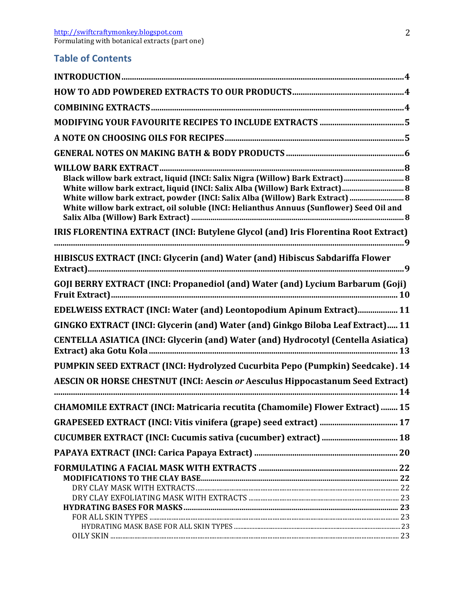## **Table of Contents**

| Black willow bark extract, liquid (INCI: Salix Nigra (Willow) Bark Extract)  8           |  |
|------------------------------------------------------------------------------------------|--|
| White willow bark extract, liquid (INCI: Salix Alba (Willow) Bark Extract) 8             |  |
| White willow bark extract, powder (INCI: Salix Alba (Willow) Bark Extract)  8            |  |
| White willow bark extract, oil soluble (INCI: Helianthus Annuus (Sunflower) Seed Oil and |  |
| IRIS FLORENTINA EXTRACT (INCI: Butylene Glycol (and) Iris Florentina Root Extract)       |  |
| HIBISCUS EXTRACT (INCI: Glycerin (and) Water (and) Hibiscus Sabdariffa Flower            |  |
| GOJI BERRY EXTRACT (INCI: Propanediol (and) Water (and) Lycium Barbarum (Goji)           |  |
| EDELWEISS EXTRACT (INCI: Water (and) Leontopodium Apinum Extract) 11                     |  |
| GINGKO EXTRACT (INCI: Glycerin (and) Water (and) Ginkgo Biloba Leaf Extract) 11          |  |
| CENTELLA ASIATICA (INCI: Glycerin (and) Water (and) Hydrocotyl (Centella Asiatica)       |  |
|                                                                                          |  |
| PUMPKIN SEED EXTRACT (INCI: Hydrolyzed Cucurbita Pepo (Pumpkin) Seedcake). 14            |  |
| <b>AESCIN OR HORSE CHESTNUT (INCI: Aescin or Aesculus Hippocastanum Seed Extract)</b>    |  |
| CHAMOMILE EXTRACT (INCI: Matricaria recutita (Chamomile) Flower Extract)  15             |  |
|                                                                                          |  |
|                                                                                          |  |
|                                                                                          |  |
|                                                                                          |  |
|                                                                                          |  |
|                                                                                          |  |
|                                                                                          |  |
|                                                                                          |  |
|                                                                                          |  |
|                                                                                          |  |
|                                                                                          |  |